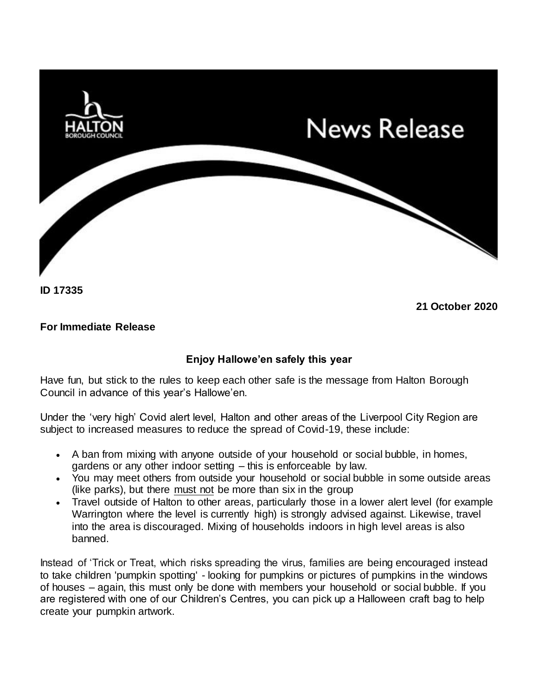

**ID 17335**

**21 October 2020**

## **For Immediate Release**

## **Enjoy Hallowe'en safely this year**

Have fun, but stick to the rules to keep each other safe is the message from Halton Borough Council in advance of this year's Hallowe'en.

Under the 'very high' Covid alert level, Halton and other areas of the Liverpool City Region are subject to increased measures to reduce the spread of Covid-19, these include:

- A ban from mixing with anyone outside of your household or social bubble, in homes, gardens or any other indoor setting – this is enforceable by law.
- You may meet others from outside your household or social bubble in some outside areas (like parks), but there must not be more than six in the group
- Travel outside of Halton to other areas, particularly those in a lower alert level (for example Warrington where the level is currently high) is strongly advised against. Likewise, travel into the area is discouraged. Mixing of households indoors in high level areas is also banned.

Instead of 'Trick or Treat, which risks spreading the virus, families are being encouraged instead to take children 'pumpkin spotting' - looking for pumpkins or pictures of pumpkins in the windows of houses – again, this must only be done with members your household or social bubble. If you are registered with one of our Children's Centres, you can pick up a Halloween craft bag to help create your pumpkin artwork.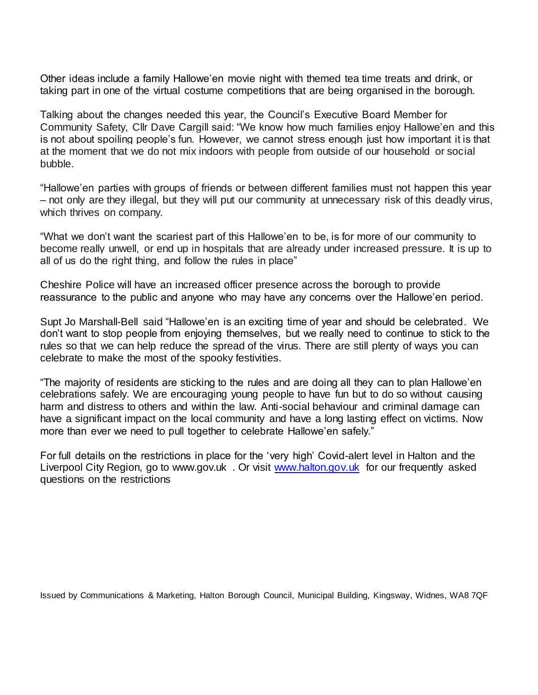Other ideas include a family Hallowe'en movie night with themed tea time treats and drink, or taking part in one of the virtual costume competitions that are being organised in the borough.

Talking about the changes needed this year, the Council's Executive Board Member for Community Safety, Cllr Dave Cargill said: "We know how much families enjoy Hallowe'en and this is not about spoiling people's fun. However, we cannot stress enough just how important it is that at the moment that we do not mix indoors with people from outside of our household or social bubble.

"Hallowe'en parties with groups of friends or between different families must not happen this year – not only are they illegal, but they will put our community at unnecessary risk of this deadly virus, which thrives on company.

"What we don't want the scariest part of this Hallowe'en to be, is for more of our community to become really unwell, or end up in hospitals that are already under increased pressure. It is up to all of us do the right thing, and follow the rules in place"

Cheshire Police will have an increased officer presence across the borough to provide reassurance to the public and anyone who may have any concerns over the Hallowe'en period.

Supt Jo Marshall-Bell said "Hallowe'en is an exciting time of year and should be celebrated. We don't want to stop people from enjoying themselves, but we really need to continue to stick to the rules so that we can help reduce the spread of the virus. There are still plenty of ways you can celebrate to make the most of the spooky festivities.

"The majority of residents are sticking to the rules and are doing all they can to plan Hallowe'en celebrations safely. We are encouraging young people to have fun but to do so without causing harm and distress to others and within the law. Anti-social behaviour and criminal damage can have a significant impact on the local community and have a long lasting effect on victims. Now more than ever we need to pull together to celebrate Hallowe'en safely."

For full details on the restrictions in place for the 'very high' Covid-alert level in Halton and the Liverpool City Region, go to www.gov.uk . Or visit [www.halton.gov.uk](http://www.halton.gov.uk/) for our frequently asked questions on the restrictions

Issued by Communications & Marketing, Halton Borough Council, Municipal Building, Kingsway, Widnes, WA8 7QF